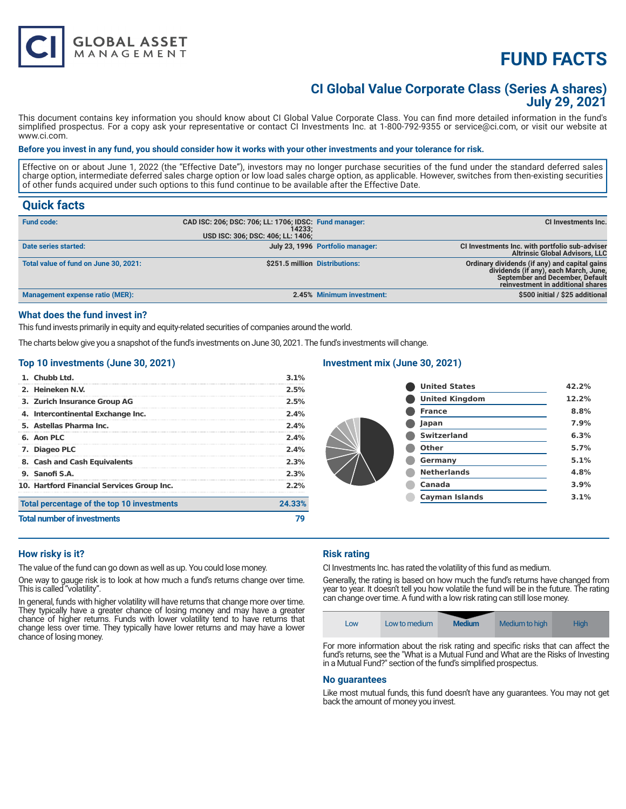# **FUND FACTS**

### **CI Global Value Corporate Class (Series A shares) July 29, 2021**

This document contains key information you should know about CI Global Value Corporate Class. You can find more detailed information in the fund's simplified prospectus. For a copy ask your representative or contact CI Investments Inc. at 1-800-792-9355 or service@ci.com, or visit our website at www.ci.com.

#### **Before you invest in any fund, you should consider how it works with your other investments and your tolerance for risk.**

Effective on or about June 1, 2022 (the "Effective Date"), investors may no longer purchase securities of the fund under the standard deferred sales charge option, intermediate deferred sales charge option or low load sales charge option, as applicable. However, switches from then-existing securities of other funds acquired under such options to this fund continue to be available after the Effective Date.

#### **Quick facts**

| <b>Fund code:</b>                      | CAD ISC: 206; DSC: 706; LL: 1706; IDSC: Fund manager:<br>14233: |                                  | CI Investments Inc.                                                                                                                                                   |
|----------------------------------------|-----------------------------------------------------------------|----------------------------------|-----------------------------------------------------------------------------------------------------------------------------------------------------------------------|
|                                        | USD ISC: 306; DSC: 406; LL: 1406;                               |                                  |                                                                                                                                                                       |
| Date series started:                   |                                                                 | July 23, 1996 Portfolio manager: | CI Investments Inc. with portfolio sub-adviser<br><b>Altrinsic Global Advisors, LLC</b>                                                                               |
| Total value of fund on June 30, 2021:  | \$251.5 million Distributions:                                  |                                  | Ordinary dividends (if any) and capital gains<br>dividends (if any), each March, June,<br><b>September and December, Default</b><br>reinvestment in additional shares |
| <b>Management expense ratio (MER):</b> |                                                                 | 2.45% Minimum investment:        | \$500 initial / \$25 additional                                                                                                                                       |

#### **What does the fund invest in?**

This fund invests primarily in equity and equity-related securities of companies around the world.

The charts below give you a snapshot of the fund's investments on June 30, 2021. The fund's investments will change.

#### **Top 10 investments (June 30, 2021)**

**GLOBAL ASSET**<br>MANAGEMENT

| 1. Chubb Ltd.<br>2. Heineken N.V.          | 3.1%<br>2.5% |
|--------------------------------------------|--------------|
| 3. Zurich Insurance Group AG               | 2.5%         |
| 4. Intercontinental Exchange Inc.          | 2.4%         |
| 5. Astellas Pharma Inc.                    | 2.4%         |
| 6. Aon PLC                                 | 2.4%         |
| 7. Diageo PLC                              | 2.4%         |
| 8. Cash and Cash Equivalents               | 2.3%         |
| 9. Sanofi S.A.                             | 2.3%         |
| 10. Hartford Financial Services Group Inc. | 2.2%         |
| Total percentage of the top 10 investments | 24.33%       |
| <b>Total number of investments</b>         |              |

#### **Investment mix (June 30, 2021)**

| <b>United States</b>  | 42.2% |
|-----------------------|-------|
| <b>United Kingdom</b> | 12.2% |
| <b>France</b>         | 8.8%  |
| Japan                 | 7.9%  |
| <b>Switzerland</b>    | 6.3%  |
| Other                 | 5.7%  |
| Germany               | 5.1%  |
| <b>Netherlands</b>    | 4.8%  |
| Canada                | 3.9%  |
| <b>Cayman Islands</b> | 3.1%  |

#### **How risky is it?**

The value of the fund can go down as well as up. You could lose money.

One way to gauge risk is to look at how much a fund's returns change over time. This is called "volatility".

In general, funds with higher volatility will have returns that change more over time. They typically have a greater chance of losing money and may have a greater chance of higher returns. Funds with lower volatility tend to have returns that change less over time. They typically have lower returns and may have a lower chance of losing money.

#### **Risk rating**

CI Investments Inc. has rated the volatility of this fund as medium.

Generally, the rating is based on how much the fund's returns have changed from year to year. It doesn't tell you how volatile the fund will be in the future. The rating can change over time. A fund with a low risk rating can still lose money.



For more information about the risk rating and specific risks that can affect the fund's returns, see the "What is a Mutual Fund and What are the Risks of Investing in a Mutual Fund?" section of the fund's simplified prospectus.

#### **No guarantees**

Like most mutual funds, this fund doesn't have any guarantees. You may not get back the amount of money you invest.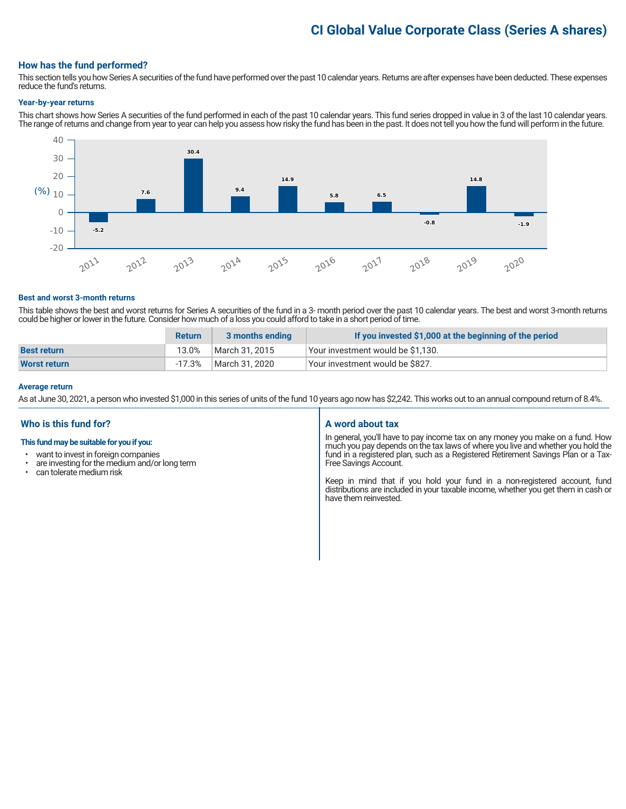## **CI Global Value Corporate Class (Series A shares)**

#### **How has the fund performed?**

This section tells you how Series A securities of the fund have performed over the past 10 calendar years. Returns are after expenses have been deducted. These expenses reduce the fund's returns.

#### **Year-by-year returns**

This chart shows how Series A securities of the fund performed in each of the past 10 calendar years. This fund series dropped in value in 3 of the last 10 calendar years. The range of returns and change from year to year can help you assess how risky the fund has been in the past. It does not tell you how the fund will perform in the future.



#### **Best and worst 3-month returns**

This table shows the best and worst returns for Series A securities of the fund in a 3- month period over the past 10 calendar years. The best and worst 3-month returns could be higher or lower in the future. Consider how much of a loss you could afford to take in a short period of time.

|                    | <b>Return</b> | 3 months ending | If you invested \$1,000 at the beginning of the period |
|--------------------|---------------|-----------------|--------------------------------------------------------|
| <b>Best return</b> | 13.0%         | March 31, 2015  | Your investment would be \$1,130.                      |
| Worst return       | $-17.3\%$     | March 31, 2020  | <sup>1</sup> Your investment would be \$827.           |

#### **Average return**

As at June 30, 2021, a person who invested \$1,000 in this series of units of the fund 10 years ago now has \$2,242. This works out to an annual compound return of 8.4%.

#### **Who is this fund for?**

#### **This fund may be suitable for you if you:**

- want to invest in foreign companies
- are investing for the medium and/or long term<br>• can telerate medium risk
- can tolerate medium risk

#### **A word about tax**

In general, you'll have to pay income tax on any money you make on a fund. How much you pay depends on the tax laws of where you live and whether you hold the fund in a registered plan, such as a Registered Retirement Savings Plan or a Tax-Free Savings Account.

Keep in mind that if you hold your fund in a non-registered account, fund distributions are included in your taxable income, whether you get them in cash or have them reinvested.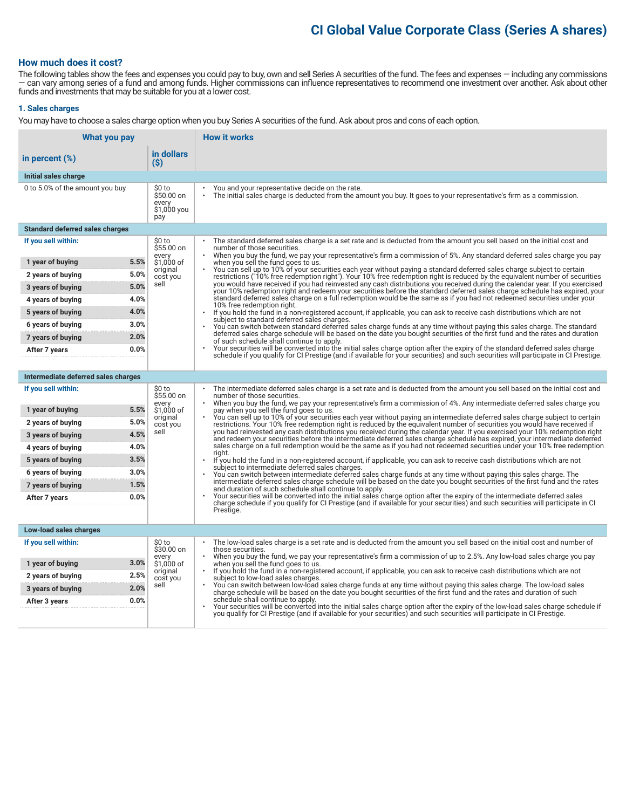### **CI Global Value Corporate Class (Series A shares)**

#### **How much does it cost?**

The following tables show the fees and expenses you could pay to buy, own and sell Series A securities of the fund. The fees and expenses — including any commissions — can vary among series of a fund and among funds. Higher commissions can influence representatives to recommend one investment over another. Ask about other funds and investments that may be suitable for you at a lower cost.

#### **1. Sales charges**

You may have to choose a sales charge option when you buy Series A securities of the fund. Ask about pros and cons of each option.

| What you pay                           |                                                     | <b>How it works</b>                                                                                                                                                                                                                                                                                                             |
|----------------------------------------|-----------------------------------------------------|---------------------------------------------------------------------------------------------------------------------------------------------------------------------------------------------------------------------------------------------------------------------------------------------------------------------------------|
| in percent $(\%)$                      | in dollars<br>(S)                                   |                                                                                                                                                                                                                                                                                                                                 |
| Initial sales charge                   |                                                     |                                                                                                                                                                                                                                                                                                                                 |
| 0 to 5.0% of the amount you buy        | \$0 to<br>\$50.00 on<br>every<br>\$1,000 you<br>pay | You and your representative decide on the rate.<br>The initial sales charge is deducted from the amount you buy. It goes to your representative's firm as a commission.                                                                                                                                                         |
| <b>Standard deferred sales charges</b> |                                                     |                                                                                                                                                                                                                                                                                                                                 |
| If you sell within:                    | \$0 to<br>\$55.00 on                                | The standard deferred sales charge is a set rate and is deducted from the amount you sell based on the initial cost and<br>number of those securities.                                                                                                                                                                          |
| 5.5%<br>1 year of buying               | every<br>\$1.000 of                                 | When you buy the fund, we pay your representative's firm a commission of 5%. Any standard deferred sales charge you pay<br>when you sell the fund goes to us.                                                                                                                                                                   |
| 5.0%<br>2 years of buying              | original<br>cost you                                | You can sell up to 10% of your securities each year without paying a standard deferred sales charge subject to certain<br>restrictions ("10% free redemption right"). Your 10% free redemption right is reduced by the equivalent number of securities                                                                          |
| 5.0%<br>3 years of buying              | sell                                                | you would have received if you had reinvested any cash distributions you received during the calendar year. If you exercised<br>your 10% redemption right and redeem your securities before the standard deferred sales charge schedule has expired, your                                                                       |
| 4.0%<br>4 years of buying              |                                                     | standard deferred sales charge on a full redemption would be the same as if you had not redeemed securities under your<br>10% free redemption right.                                                                                                                                                                            |
| 4.0%<br>5 years of buying              |                                                     | $\bullet$<br>If you hold the fund in a non-registered account, if applicable, you can ask to receive cash distributions which are not<br>subject to standard deferred sales charges.                                                                                                                                            |
| 3.0%<br>6 years of buying              |                                                     | You can switch between standard deferred sales charge funds at any time without paying this sales charge. The standard                                                                                                                                                                                                          |
| 2.0%<br>7 years of buying              |                                                     | deferred sales charge schedule will be based on the date you bought securities of the first fund and the rates and duration<br>of such schedule shall continue to apply.                                                                                                                                                        |
| 0.0%<br>After 7 years                  |                                                     | Your securities will be converted into the initial sales charge option after the expiry of the standard deferred sales charge<br>schedule if you qualify for CI Prestige (and if available for your securities) and such securities will participate in CI Prestige.                                                            |
|                                        |                                                     |                                                                                                                                                                                                                                                                                                                                 |
| Intermediate deferred sales charges    |                                                     |                                                                                                                                                                                                                                                                                                                                 |
| If you sell within:                    | \$0 to<br>\$55.00 on<br>every                       | The intermediate deferred sales charge is a set rate and is deducted from the amount you sell based on the initial cost and<br>number of those securities.<br>When you buy the fund, we pay your representative's firm a commission of 4%. Any intermediate deferred sales charge you<br>pay when you sell the fund goes to us. |
| 5.5%<br>1 year of buying               | \$1,000 of                                          |                                                                                                                                                                                                                                                                                                                                 |
| 5.0%<br>2 years of buying              | original<br>cost you                                | You can sell up to 10% of your securities each year without paying an intermediate deferred sales charge subject to certain<br>restrictions. Your 10% free redemption right is reduced by the equivalent number of securities you would have received if                                                                        |
| 4.5%<br>3 years of buying              | sell                                                | you had reinvested any cash distributions you received during the calendar year. If you exercised your 10% redemption right<br>and redeem your securities before the intermediate deferred sales charge schedule has expired, your intermediate deferred                                                                        |
| 4.0%<br>4 years of buying              |                                                     | sales charge on a full redemption would be the same as if you had not redeemed securities under your 10% free redemption<br>riaht.                                                                                                                                                                                              |
| 3.5%<br>5 years of buying              |                                                     | If you hold the fund in a non-registered account, if applicable, you can ask to receive cash distributions which are not<br>subject to intermediate deferred sales charges.                                                                                                                                                     |
| 3.0%<br>6 years of buying              |                                                     | You can switch between intermediate deferred sales charge funds at any time without paying this sales charge. The<br>intermediate deferred sales charge schedule will be based on the date you bought securities of the first fund and the rates                                                                                |
| 7 years of buying<br>1.5%              |                                                     | and duration of such schedule shall continue to apply.                                                                                                                                                                                                                                                                          |
| 0.0%<br>After 7 years                  |                                                     | Your securities will be converted into the initial sales charge option after the expiry of the intermediate deferred sales<br>charge schedule if you qualify for CI Prestige (and if available for your securities) and such securities will participate in CI                                                                  |
|                                        |                                                     | Prestige.                                                                                                                                                                                                                                                                                                                       |
| Low-load sales charges                 |                                                     |                                                                                                                                                                                                                                                                                                                                 |
| If you sell within:                    | \$0 to<br>\$30.00 on                                | The low-load sales charge is a set rate and is deducted from the amount you sell based on the initial cost and number of<br>those securities.                                                                                                                                                                                   |
| 3.0%                                   | every                                               | When you buy the fund, we pay your representative's firm a commission of up to 2.5%. Any low-load sales charge you pay                                                                                                                                                                                                          |
| 1 year of buying<br>2.5%               | \$1,000 of<br>original                              | when you sell the fund goes to us.<br>If you hold the fund in a non-registered account, if applicable, you can ask to receive cash distributions which are not                                                                                                                                                                  |
| 2 years of buying<br>2.0%              | cost you<br>sell                                    | subject to low-load sales charges.<br>You can switch between low-load sales charge funds at any time without paying this sales charge. The low-load sales                                                                                                                                                                       |
| 3 years of buying<br>0.0%              |                                                     | charge schedule will be based on the date you bought securities of the first fund and the rates and duration of such<br>schedule shall continue to apply.                                                                                                                                                                       |
| After 3 years                          |                                                     | Your securities will be converted into the initial sales charge option after the expiry of the low-load sales charge schedule if<br>you qualify for CI Prestige (and if available for your securities) and such securities will participate in CI Prestige.                                                                     |